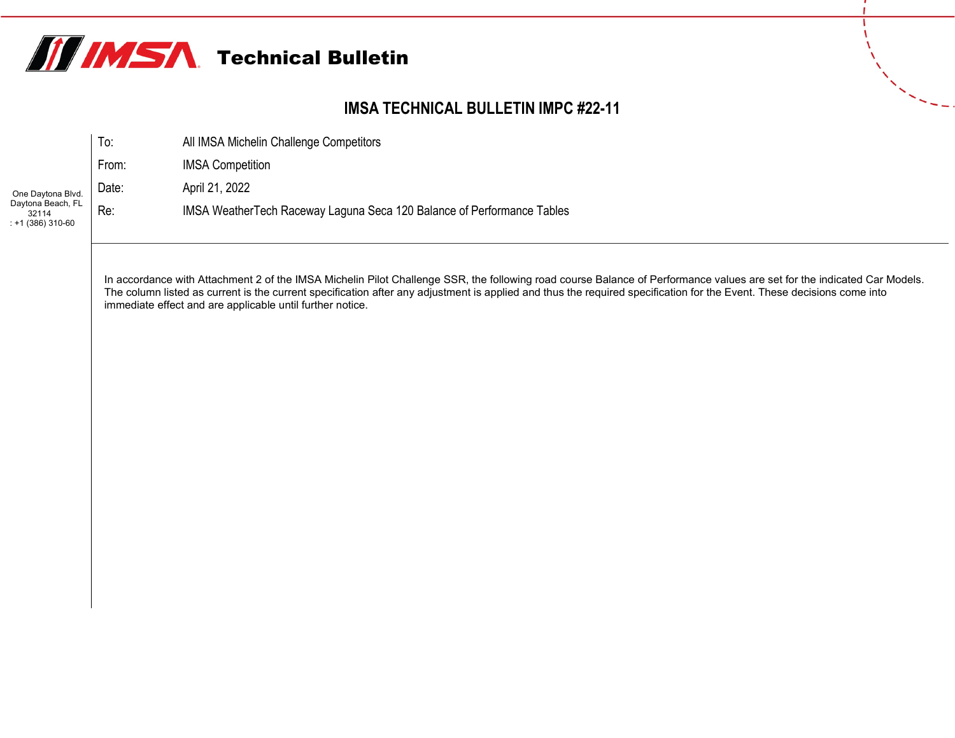

## **IMSA TECHNICAL BULLETIN IMPC #22-11**

|                                                 | To:   | All IMSA Michelin Challenge Competitors                                 |
|-------------------------------------------------|-------|-------------------------------------------------------------------------|
|                                                 | From: | <b>IMSA Competition</b>                                                 |
| One Daytona Blvd.                               | Date: | April 21, 2022                                                          |
| Daytona Beach, FL<br>32114<br>$: +1(386)310-60$ | Re:   | IMSA Weather Tech Raceway Laguna Seca 120 Balance of Performance Tables |

In accordance with Attachment 2 of the IMSA Michelin Pilot Challenge SSR, the following road course Balance of Performance values are set for the indicated Car Models. The column listed as current is the current specification after any adjustment is applied and thus the required specification for the Event. These decisions come into immediate effect and are applicable until further notice.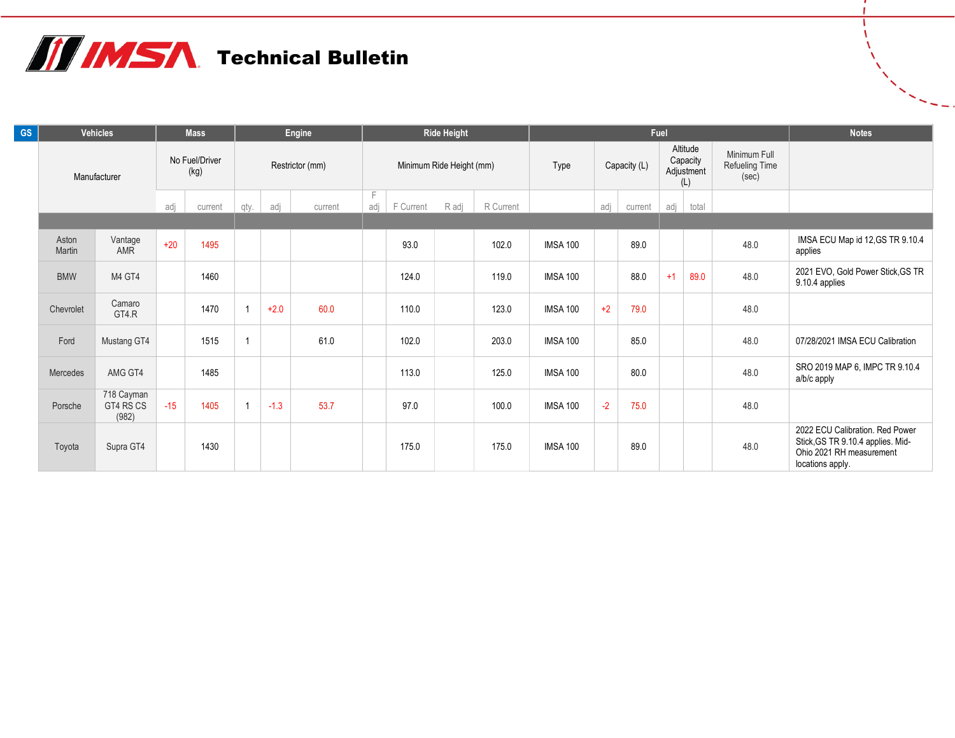## **THIMSA** Technical Bulletin

| <b>GS</b> | <b>Vehicles</b> |                                  | <b>Mass</b>            |      | Engine          |        |         | <b>Ride Height</b>       |           |       |           |                 |              | Fuel    | <b>Notes</b> |                                           |                                         |                                                                                                                      |
|-----------|-----------------|----------------------------------|------------------------|------|-----------------|--------|---------|--------------------------|-----------|-------|-----------|-----------------|--------------|---------|--------------|-------------------------------------------|-----------------------------------------|----------------------------------------------------------------------------------------------------------------------|
|           | Manufacturer    |                                  | No Fuel/Driver<br>(kg) |      | Restrictor (mm) |        |         | Minimum Ride Height (mm) |           |       |           | Type            | Capacity (L) |         |              | Altitude<br>Capacity<br>Adjustment<br>(L) | Minimum Full<br>Refueling Time<br>(sec) |                                                                                                                      |
|           |                 |                                  | adj<br>current         |      | qty.            | adj    | current | adj                      | F Current | R adj | R Current |                 | adj          | current | adj          | total                                     |                                         |                                                                                                                      |
|           |                 |                                  |                        |      |                 |        |         |                          |           |       |           |                 |              |         |              |                                           |                                         |                                                                                                                      |
|           | Aston<br>Martin | Vantage<br>AMR                   | $+20$                  | 1495 |                 |        |         |                          | 93.0      |       | 102.0     | <b>IMSA 100</b> |              | 89.0    |              |                                           | 48.0                                    | IMSA ECU Map id 12, GS TR 9.10.4<br>applies                                                                          |
|           | <b>BMW</b>      | M4 GT4                           |                        | 1460 |                 |        |         |                          | 124.0     |       | 119.0     | <b>IMSA 100</b> |              | 88.0    | $+1$         | 89.0                                      | 48.0                                    | 2021 EVO, Gold Power Stick, GS TR<br>9.10.4 applies                                                                  |
|           | Chevrolet       | Camaro<br>GT4.R                  |                        | 1470 |                 | $+2.0$ | 60.0    |                          | 110.0     |       | 123.0     | <b>IMSA 100</b> | $+2$         | 79.0    |              |                                           | 48.0                                    |                                                                                                                      |
|           | Ford            | Mustang GT4                      |                        | 1515 |                 |        | 61.0    |                          | 102.0     |       | 203.0     | <b>IMSA 100</b> |              | 85.0    |              |                                           | 48.0                                    | 07/28/2021 IMSA ECU Calibration                                                                                      |
|           | Mercedes        | AMG GT4                          |                        | 1485 |                 |        |         |                          | 113.0     |       | 125.0     | <b>IMSA 100</b> |              | 80.0    |              |                                           | 48.0                                    | SRO 2019 MAP 6, IMPC TR 9.10.4<br>a/b/c apply                                                                        |
|           | Porsche         | 718 Cayman<br>GT4 RS CS<br>(982) | $-15$                  | 1405 |                 | $-1.3$ | 53.7    |                          | 97.0      |       | 100.0     | <b>IMSA 100</b> | $-2$         | 75.0    |              |                                           | 48.0                                    |                                                                                                                      |
|           | Toyota          | Supra GT4                        |                        | 1430 |                 |        |         |                          | 175.0     |       | 175.0     | <b>IMSA 100</b> |              | 89.0    |              |                                           | 48.0                                    | 2022 ECU Calibration. Red Power<br>Stick, GS TR 9.10.4 applies. Mid-<br>Ohio 2021 RH measurement<br>locations apply. |